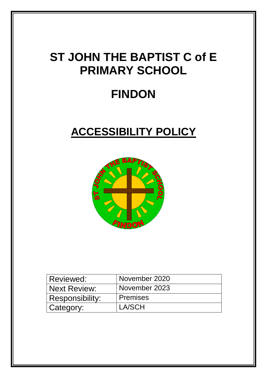## **ST JOHN THE BAPTIST C of E PRIMARY SCHOOL**

# **FINDON**

## **ACCESSIBILITY POLICY**



| Reviewed:           | November 2020   |
|---------------------|-----------------|
| <b>Next Review:</b> | November 2023   |
| Responsibility:     | <b>Premises</b> |
| Category:           | LA/SCH          |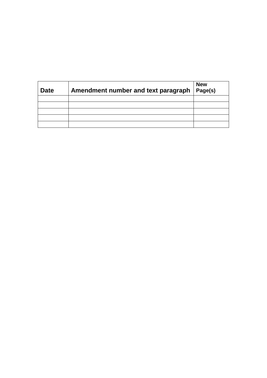| Date | Amendment number and text paragraph | <b>New</b><br>Page(s) |
|------|-------------------------------------|-----------------------|
|      |                                     |                       |
|      |                                     |                       |
|      |                                     |                       |
|      |                                     |                       |
|      |                                     |                       |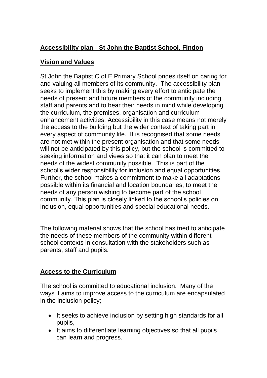## **Accessibility plan - St John the Baptist School, Findon**

## **Vision and Values**

St John the Baptist C of E Primary School prides itself on caring for and valuing all members of its community. The accessibility plan seeks to implement this by making every effort to anticipate the needs of present and future members of the community including staff and parents and to bear their needs in mind while developing the curriculum, the premises, organisation and curriculum enhancement activities. Accessibility in this case means not merely the access to the building but the wider context of taking part in every aspect of community life. It is recognised that some needs are not met within the present organisation and that some needs will not be anticipated by this policy, but the school is committed to seeking information and views so that it can plan to meet the needs of the widest community possible. This is part of the school's wider responsibility for inclusion and equal opportunities. Further, the school makes a commitment to make all adaptations possible within its financial and location boundaries, to meet the needs of any person wishing to become part of the school community. This plan is closely linked to the school's policies on inclusion, equal opportunities and special educational needs.

The following material shows that the school has tried to anticipate the needs of these members of the community within different school contexts in consultation with the stakeholders such as parents, staff and pupils.

## **Access to the Curriculum**

The school is committed to educational inclusion. Many of the ways it aims to improve access to the curriculum are encapsulated in the inclusion policy;

- It seeks to achieve inclusion by setting high standards for all pupils,
- It aims to differentiate learning objectives so that all pupils can learn and progress.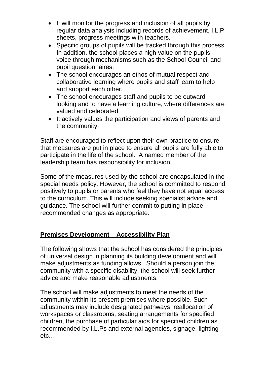- It will monitor the progress and inclusion of all pupils by regular data analysis including records of achievement, I.L.P sheets, progress meetings with teachers.
- Specific groups of pupils will be tracked through this process. In addition, the school places a high value on the pupils' voice through mechanisms such as the School Council and pupil questionnaires.
- The school encourages an ethos of mutual respect and collaborative learning where pupils and staff learn to help and support each other.
- The school encourages staff and pupils to be outward looking and to have a learning culture, where differences are valued and celebrated.
- It actively values the participation and views of parents and the community.

Staff are encouraged to reflect upon their own practice to ensure that measures are put in place to ensure all pupils are fully able to participate in the life of the school. A named member of the leadership team has responsibility for inclusion.

Some of the measures used by the school are encapsulated in the special needs policy. However, the school is committed to respond positively to pupils or parents who feel they have not equal access to the curriculum. This will include seeking specialist advice and guidance. The school will further commit to putting in place recommended changes as appropriate.

## **Premises Development – Accessibility Plan**

The following shows that the school has considered the principles of universal design in planning its building development and will make adjustments as funding allows. Should a person join the community with a specific disability, the school will seek further advice and make reasonable adjustments.

The school will make adjustments to meet the needs of the community within its present premises where possible. Such adjustments may include designated pathways, reallocation of workspaces or classrooms, seating arrangements for specified children, the purchase of particular aids for specified children as recommended by I.L.Ps and external agencies, signage, lighting etc…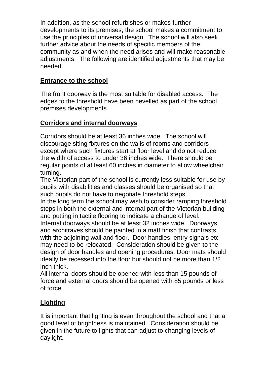In addition, as the school refurbishes or makes further developments to its premises, the school makes a commitment to use the principles of universal design. The school will also seek further advice about the needs of specific members of the community as and when the need arises and will make reasonable adjustments. The following are identified adjustments that may be needed.

#### **Entrance to the school**

The front doorway is the most suitable for disabled access. The edges to the threshold have been bevelled as part of the school premises developments.

#### **Corridors and internal doorways**

Corridors should be at least 36 inches wide. The school will discourage siting fixtures on the walls of rooms and corridors except where such fixtures start at floor level and do not reduce the width of access to under 36 inches wide. There should be regular points of at least 60 inches in diameter to allow wheelchair turning.

The Victorian part of the school is currently less suitable for use by pupils with disabilities and classes should be organised so that such pupils do not have to negotiate threshold steps.

In the long term the school may wish to consider ramping threshold steps in both the external and internal part of the Victorian building and putting in tactile flooring to indicate a change of level.

Internal doorways should be at least 32 inches wide. Doorways and architraves should be painted in a matt finish that contrasts with the adjoining wall and floor. Door handles, entry signals etc. may need to be relocated. Consideration should be given to the design of door handles and opening procedures. Door mats should ideally be recessed into the floor but should not be more than 1/2 inch thick.

All internal doors should be opened with less than 15 pounds of force and external doors should be opened with 85 pounds or less of force.

## **Lighting**

It is important that lighting is even throughout the school and that a good level of brightness is maintained Consideration should be given in the future to lights that can adjust to changing levels of daylight.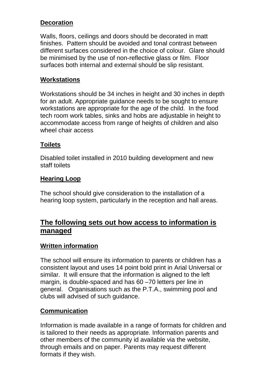#### **Decoration**

Walls, floors, ceilings and doors should be decorated in matt finishes. Pattern should be avoided and tonal contrast between different surfaces considered in the choice of colour. Glare should be minimised by the use of non-reflective glass or film. Floor surfaces both internal and external should be slip resistant.

#### **Workstations**

Workstations should be 34 inches in height and 30 inches in depth for an adult. Appropriate guidance needs to be sought to ensure workstations are appropriate for the age of the child. In the food tech room work tables, sinks and hobs are adjustable in height to accommodate access from range of heights of children and also wheel chair access

#### **Toilets**

Disabled toilet installed in 2010 building development and new staff toilets

#### **Hearing Loop**

The school should give consideration to the installation of a hearing loop system, particularly in the reception and hall areas.

## **The following sets out how access to information is managed**

#### **Written information**

The school will ensure its information to parents or children has a consistent layout and uses 14 point bold print in Arial Universal or similar. It will ensure that the information is aligned to the left margin, is double-spaced and has 60 –70 letters per line in general. Organisations such as the P.T.A., swimming pool and clubs will advised of such guidance.

#### **Communication**

Information is made available in a range of formats for children and is tailored to their needs as appropriate. Information parents and other members of the community id available via the website, through emails and on paper. Parents may request different formats if they wish.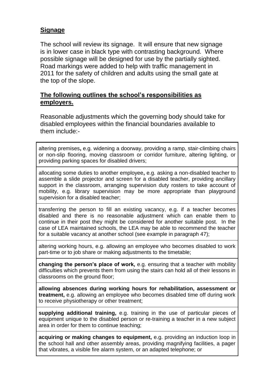### **Signage**

The school will review its signage. It will ensure that new signage is in lower case in black type with contrasting background. Where possible signage will be designed for use by the partially sighted. Road markings were added to help with traffic management in 2011 for the safety of children and adults using the small gate at the top of the slope.

#### **The following outlines the school's responsibilities as employers.**

Reasonable adjustments which the governing body should take for disabled employees within the financial boundaries available to them include:-

altering premises**,** e.g. widening a doorway, providing a ramp, stair-climbing chairs or non-slip flooring, moving classroom or corridor furniture, altering lighting, or providing parking spaces for disabled drivers;

allocating some duties to another employee**,** e.g. asking a non-disabled teacher to assemble a slide projector and screen for a disabled teacher, providing ancillary support in the classroom, arranging supervision duty rosters to take account of mobility, e.g. library supervision may be more appropriate than playground supervision for a disabled teacher;

transferring the person to fill an existing vacancy, e.g. if a teacher becomes disabled and there is no reasonable adjustment which can enable them to continue in their post they might be considered for another suitable post. In the case of LEA maintained schools, the LEA may be able to recommend the teacher for a suitable vacancy at another school (see example in paragraph 47);

altering working hours, e.g. allowing an employee who becomes disabled to work part-time or to job share or making adjustments to the timetable;

**changing the person's place of work,** e.g. ensuring that a teacher with mobility difficulties which prevents them from using the stairs can hold all of their lessons in classrooms on the ground floor;

**allowing absences during working hours for rehabilitation, assessment or treatment,** e.g. allowing an employee who becomes disabled time off during work to receive physiotherapy or other treatment;

**supplying additional training,** e.g. training in the use of particular pieces of equipment unique to the disabled person or re-training a teacher in a new subject area in order for them to continue teaching;

**acquiring or making changes to equipment,** e.g. providing an induction loop in the school hall and other assembly areas, providing magnifying facilities, a pager that vibrates, a visible fire alarm system, or an adapted telephone; or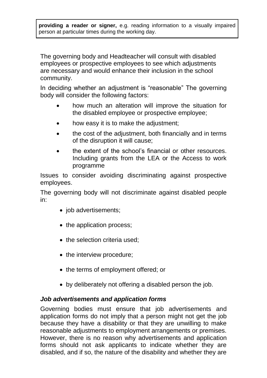**providing a reader or signer,** e.g. reading information to a visually impaired person at particular times during the working day.

The governing body and Headteacher will consult with disabled employees or prospective employees to see which adjustments are necessary and would enhance their inclusion in the school community.

In deciding whether an adjustment is "reasonable" The governing body will consider the following factors:

- how much an alteration will improve the situation for the disabled employee or prospective employee;
- how easy it is to make the adjustment;
- the cost of the adjustment, both financially and in terms of the disruption it will cause;
- the extent of the school's financial or other resources. Including grants from the LEA or the Access to work programme

Issues to consider avoiding discriminating against prospective employees.

The governing body will not discriminate against disabled people in:

- job advertisements;
- the application process;
- the selection criteria used;
- the interview procedure;
- the terms of employment offered; or
- by deliberately not offering a disabled person the job.

#### *Job advertisements and application forms*

Governing bodies must ensure that job advertisements and application forms do not imply that a person might not get the job because they have a disability or that they are unwilling to make reasonable adjustments to employment arrangements or premises. However, there is no reason why advertisements and application forms should not ask applicants to indicate whether they are disabled, and if so, the nature of the disability and whether they are